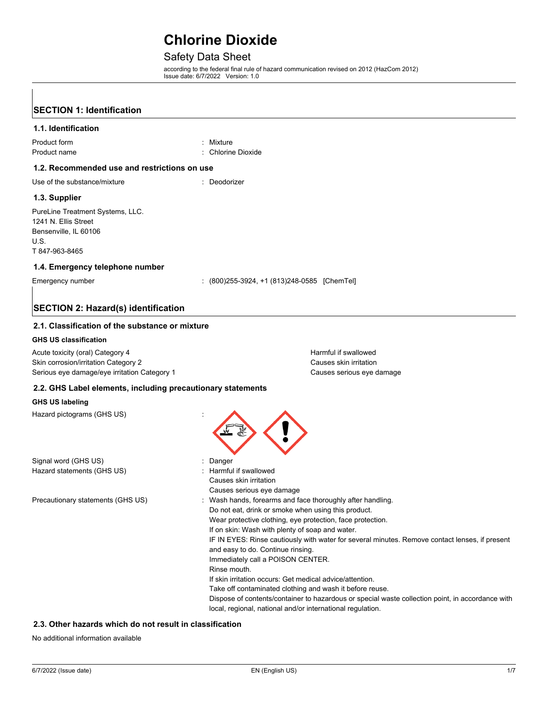# Safety Data Sheet

according to the federal final rule of hazard communication revised on 2012 (HazCom 2012) Issue date: 6/7/2022 Version: 1.0

| <b>SECTION 1: Identification</b>                                                                                         |                                                                                                                                                                                                                                                                                                                                                                                                                                                                                                                                                                                                                                                                                                                        |
|--------------------------------------------------------------------------------------------------------------------------|------------------------------------------------------------------------------------------------------------------------------------------------------------------------------------------------------------------------------------------------------------------------------------------------------------------------------------------------------------------------------------------------------------------------------------------------------------------------------------------------------------------------------------------------------------------------------------------------------------------------------------------------------------------------------------------------------------------------|
| 1.1. Identification                                                                                                      |                                                                                                                                                                                                                                                                                                                                                                                                                                                                                                                                                                                                                                                                                                                        |
| Product form<br>Product name                                                                                             | : Mixture<br>: Chlorine Dioxide                                                                                                                                                                                                                                                                                                                                                                                                                                                                                                                                                                                                                                                                                        |
| 1.2. Recommended use and restrictions on use                                                                             |                                                                                                                                                                                                                                                                                                                                                                                                                                                                                                                                                                                                                                                                                                                        |
| Use of the substance/mixture                                                                                             | : Deodorizer                                                                                                                                                                                                                                                                                                                                                                                                                                                                                                                                                                                                                                                                                                           |
| 1.3. Supplier                                                                                                            |                                                                                                                                                                                                                                                                                                                                                                                                                                                                                                                                                                                                                                                                                                                        |
| PureLine Treatment Systems, LLC.<br>1241 N. Ellis Street<br>Bensenville, IL 60106<br>U.S.<br>T 847-963-8465              |                                                                                                                                                                                                                                                                                                                                                                                                                                                                                                                                                                                                                                                                                                                        |
| 1.4. Emergency telephone number                                                                                          |                                                                                                                                                                                                                                                                                                                                                                                                                                                                                                                                                                                                                                                                                                                        |
| Emergency number                                                                                                         | $(800)$ 255-3924, +1 $(813)$ 248-0585 [ChemTel]                                                                                                                                                                                                                                                                                                                                                                                                                                                                                                                                                                                                                                                                        |
| <b>SECTION 2: Hazard(s) identification</b>                                                                               |                                                                                                                                                                                                                                                                                                                                                                                                                                                                                                                                                                                                                                                                                                                        |
| 2.1. Classification of the substance or mixture                                                                          |                                                                                                                                                                                                                                                                                                                                                                                                                                                                                                                                                                                                                                                                                                                        |
| <b>GHS US classification</b>                                                                                             |                                                                                                                                                                                                                                                                                                                                                                                                                                                                                                                                                                                                                                                                                                                        |
| Acute toxicity (oral) Category 4<br>Skin corrosion/irritation Category 2<br>Serious eye damage/eye irritation Category 1 | Harmful if swallowed<br>Causes skin irritation<br>Causes serious eye damage                                                                                                                                                                                                                                                                                                                                                                                                                                                                                                                                                                                                                                            |
| 2.2. GHS Label elements, including precautionary statements                                                              |                                                                                                                                                                                                                                                                                                                                                                                                                                                                                                                                                                                                                                                                                                                        |
| <b>GHS US labeling</b>                                                                                                   |                                                                                                                                                                                                                                                                                                                                                                                                                                                                                                                                                                                                                                                                                                                        |
| Hazard pictograms (GHS US)                                                                                               |                                                                                                                                                                                                                                                                                                                                                                                                                                                                                                                                                                                                                                                                                                                        |
| Signal word (GHS US)                                                                                                     | Danger                                                                                                                                                                                                                                                                                                                                                                                                                                                                                                                                                                                                                                                                                                                 |
| Hazard statements (GHS US)                                                                                               | : Harmful if swallowed<br>Causes skin irritation<br>Causes serious eye damage                                                                                                                                                                                                                                                                                                                                                                                                                                                                                                                                                                                                                                          |
| Precautionary statements (GHS US)                                                                                        | Wash hands, forearms and face thoroughly after handling.<br>Do not eat, drink or smoke when using this product.<br>Wear protective clothing, eye protection, face protection.<br>If on skin: Wash with plenty of soap and water.<br>IF IN EYES: Rinse cautiously with water for several minutes. Remove contact lenses, if present<br>and easy to do. Continue rinsing.<br>Immediately call a POISON CENTER.<br>Rinse mouth.<br>If skin irritation occurs: Get medical advice/attention.<br>Take off contaminated clothing and wash it before reuse.<br>Dispose of contents/container to hazardous or special waste collection point, in accordance with<br>local, regional, national and/or international regulation. |

#### **2.3. Other hazards which do not result in classification**

No additional information available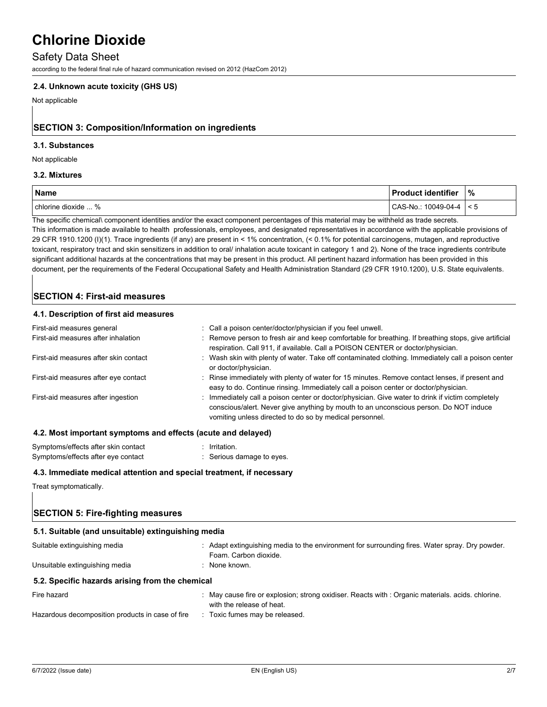#### Safety Data Sheet

according to the federal final rule of hazard communication revised on 2012 (HazCom 2012)

#### **2.4. Unknown acute toxicity (GHS US)**

Not applicable

# **SECTION 3: Composition/Information on ingredients**

#### **3.1. Substances**

#### Not applicable

#### **3.2. Mixtures**

| <b>Name</b>         | ∣ Product identifier | %    |
|---------------------|----------------------|------|
| chlorine dioxide  % | CAS-No.: 10049-04-4  | ່< 5 |

The specific chemical\ component identities and/or the exact component percentages of this material may be withheld as trade secrets.

This information is made available to health professionals, employees, and designated representatives in accordance with the applicable provisions of 29 CFR 1910.1200 (I)(1). Trace ingredients (if any) are present in < 1% concentration, (< 0.1% for potential carcinogens, mutagen, and reproductive toxicant, respiratory tract and skin sensitizers in addition to oral/ inhalation acute toxicant in category 1 and 2). None of the trace ingredients contribute significant additional hazards at the concentrations that may be present in this product. All pertinent hazard information has been provided in this document, per the requirements of the Federal Occupational Safety and Health Administration Standard (29 CFR 1910.1200), U.S. State equivalents.

# **SECTION 4: First-aid measures**

#### **4.1. Description of first aid measures**

| First-aid measures general                                         | : Call a poison center/doctor/physician if you feel unwell.                                                                                                                                                                                          |
|--------------------------------------------------------------------|------------------------------------------------------------------------------------------------------------------------------------------------------------------------------------------------------------------------------------------------------|
| First-aid measures after inhalation                                | : Remove person to fresh air and keep comfortable for breathing. If breathing stops, give artificial<br>respiration. Call 911, if available. Call a POISON CENTER or doctor/physician.                                                               |
| First-aid measures after skin contact                              | : Wash skin with plenty of water. Take off contaminated clothing. Immediately call a poison center<br>or doctor/physician.                                                                                                                           |
| First-aid measures after eye contact                               | : Rinse immediately with plenty of water for 15 minutes. Remove contact lenses, if present and<br>easy to do. Continue rinsing. Immediately call a poison center or doctor/physician.                                                                |
| First-aid measures after ingestion                                 | : Immediately call a poison center or doctor/physician. Give water to drink if victim completely<br>conscious/alert. Never give anything by mouth to an unconscious person. Do NOT induce<br>vomiting unless directed to do so by medical personnel. |
| 4.0. Meet beer cutant acceptance and effects formity and delays di |                                                                                                                                                                                                                                                      |

#### **4.2. Most important symptoms and effects (acute and delayed)**

| Symptoms/effects after skin contact | $:$ Irritation          |
|-------------------------------------|-------------------------|
| Symptoms/effects after eye contact  | Serious damage to eyes. |

#### **4.3. Immediate medical attention and special treatment, if necessary**

Treat symptomatically.

# **SECTION 5: Fire-fighting measures**

| 5.1. Suitable (and unsuitable) extinguishing media |                                                                                                                              |  |
|----------------------------------------------------|------------------------------------------------------------------------------------------------------------------------------|--|
| Suitable extinguishing media                       | . Adapt extinguishing media to the environment for surrounding fires. Water spray. Dry powder.<br>Foam. Carbon dioxide.      |  |
| Unsuitable extinguishing media                     | : None known.                                                                                                                |  |
| 5.2. Specific hazards arising from the chemical    |                                                                                                                              |  |
| Fire hazard                                        | May cause fire or explosion; strong oxidiser. Reacts with : Organic materials. acids. chlorine.<br>with the release of heat. |  |
| Hazardous decomposition products in case of fire   | : Toxic fumes may be released.                                                                                               |  |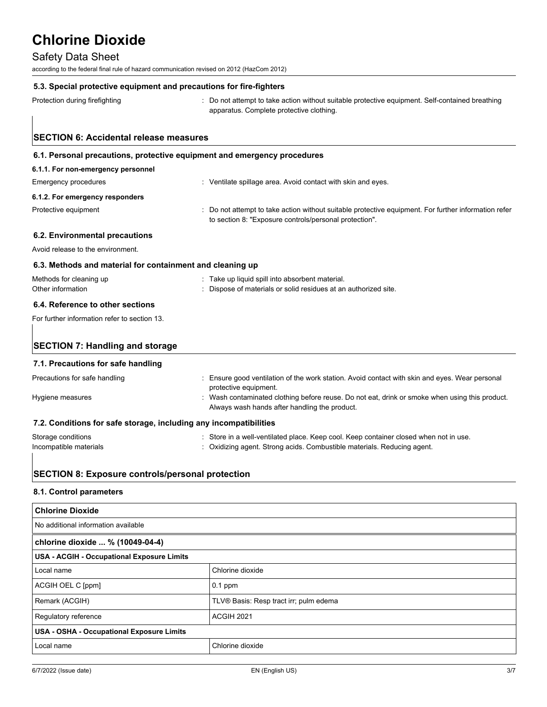### Safety Data Sheet

according to the federal final rule of hazard communication revised on 2012 (HazCom 2012)

#### **5.3. Special protective equipment and precautions for fire-fighters**

Protection during firefighting **interprotection** : Do not attempt to take action without suitable protective equipment. Self-contained breathing apparatus. Complete protective clothing.

# **SECTION 6: Accidental release measures 6.1. Personal precautions, protective equipment and emergency procedures 6.1.1. For non-emergency personnel** Emergency procedures **in the subset of the Contact With School** Senegal Avoid contact with skin and eyes. **6.1.2. For emergency responders** Protective equipment **interprotective equipment** information refer to section 8: "Exposure controls/personal protection". **6.2. Environmental precautions** Avoid release to the environment. **6.3. Methods and material for containment and cleaning up** Methods for cleaning up **into absorbent material.** Take up liquid spill into absorbent material. Other information : Dispose of materials or solid residues at an authorized site.

# **6.4. Reference to other sections**

For further information refer to section 13.

# **SECTION 7: Handling and storage**

#### **7.1. Precautions for safe handling**

| Precautions for safe handling<br>Hygiene measures                 | : Ensure good ventilation of the work station. Avoid contact with skin and eyes. Wear personal<br>protective equipment.<br>: Wash contaminated clothing before reuse. Do not eat, drink or smoke when using this product.<br>Always wash hands after handling the product. |
|-------------------------------------------------------------------|----------------------------------------------------------------------------------------------------------------------------------------------------------------------------------------------------------------------------------------------------------------------------|
| 7.2. Conditions for safe storage, including any incompatibilities |                                                                                                                                                                                                                                                                            |
| Storage conditions<br>Incompatible materials                      | . Store in a well-ventilated place. Keep cool. Keep container closed when not in use.<br>: Oxidizing agent. Strong acids. Combustible materials. Reducing agent.                                                                                                           |

# **SECTION 8: Exposure controls/personal protection**

#### **8.1. Control parameters**

| <b>Chlorine Dioxide</b>                           |                                        |  |
|---------------------------------------------------|----------------------------------------|--|
| No additional information available               |                                        |  |
| chlorine dioxide  % (10049-04-4)                  |                                        |  |
| <b>USA - ACGIH - Occupational Exposure Limits</b> |                                        |  |
| Local name                                        | Chlorine dioxide                       |  |
| ACGIH OEL C [ppm]                                 | $0.1$ ppm                              |  |
| Remark (ACGIH)                                    | TLV® Basis: Resp tract irr; pulm edema |  |
| Regulatory reference                              | ACGIH 2021                             |  |
| <b>USA - OSHA - Occupational Exposure Limits</b>  |                                        |  |
| Local name                                        | Chlorine dioxide                       |  |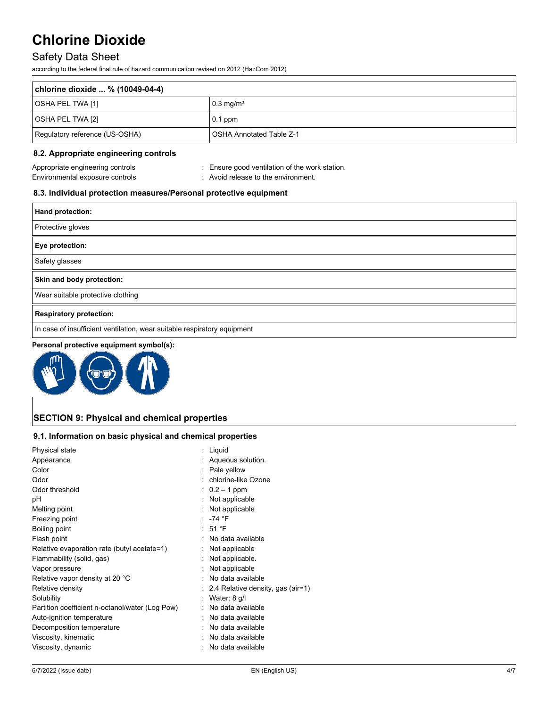# Safety Data Sheet

according to the federal final rule of hazard communication revised on 2012 (HazCom 2012)

| chlorine dioxide  % (10049-04-4) |                                 |  |
|----------------------------------|---------------------------------|--|
| OSHA PEL TWA [1]                 | $\sqrt{0.3}$ mg/m <sup>3</sup>  |  |
| OSHA PEL TWA [2]                 | $0.1$ ppm                       |  |
| Regulatory reference (US-OSHA)   | <b>OSHA Annotated Table Z-1</b> |  |

### **8.2. Appropriate engineering controls**

Appropriate engineering controls **in the controls** : Ensure good ventilation of the work station. Environmental exposure controls **Environmental** exposure controls

## **8.3. Individual protection measures/Personal protective equipment**

| Hand protection:                                                         |
|--------------------------------------------------------------------------|
| Protective gloves                                                        |
| Eye protection:                                                          |
| Safety glasses                                                           |
| Skin and body protection:                                                |
| Wear suitable protective clothing                                        |
| <b>Respiratory protection:</b>                                           |
| In case of insufficient ventilation, wear suitable respiratory equipment |
|                                                                          |

#### **Personal protective equipment symbol(s):**



# **SECTION 9: Physical and chemical properties**

### **9.1. Information on basic physical and chemical properties**

| Physical state                                  | : Liquid                          |
|-------------------------------------------------|-----------------------------------|
| Appearance                                      | : Aqueous solution.               |
| Color                                           | : Pale yellow                     |
| Odor                                            | chlorine-like Ozone               |
| Odor threshold                                  | $: 0.2 - 1$ ppm                   |
| рH                                              | : Not applicable                  |
| Melting point                                   | : Not applicable                  |
| Freezing point                                  | : $-74$ °F                        |
| Boiling point                                   | $:51°$ F                          |
| Flash point                                     | No data available                 |
| Relative evaporation rate (butyl acetate=1)     | Not applicable                    |
| Flammability (solid, gas)                       | Not applicable.                   |
| Vapor pressure                                  | Not applicable                    |
| Relative vapor density at 20 °C                 | No data available                 |
| Relative density                                | 2.4 Relative density, gas (air=1) |
| Solubility                                      | Water: 8 g/l                      |
| Partition coefficient n-octanol/water (Log Pow) | No data available                 |
| Auto-ignition temperature                       | No data available                 |
| Decomposition temperature                       | No data available                 |
| Viscosity, kinematic                            | : No data available               |
| Viscosity, dynamic                              | No data available                 |
|                                                 |                                   |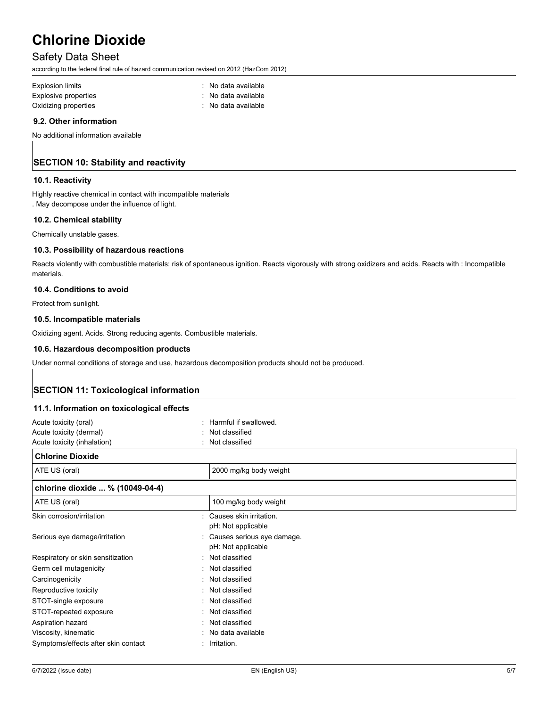### Safety Data Sheet

according to the federal final rule of hazard communication revised on 2012 (HazCom 2012)

| <b>Explosion limits</b> | : No data available |
|-------------------------|---------------------|
| Explosive properties    | No data available   |
| Oxidizing properties    | : No data available |

#### **9.2. Other information**

No additional information available

# **SECTION 10: Stability and reactivity**

#### **10.1. Reactivity**

Highly reactive chemical in contact with incompatible materials . May decompose under the influence of light.

#### **10.2. Chemical stability**

Chemically unstable gases.

#### **10.3. Possibility of hazardous reactions**

Reacts violently with combustible materials: risk of spontaneous ignition. Reacts vigorously with strong oxidizers and acids. Reacts with : Incompatible materials.

#### **10.4. Conditions to avoid**

Protect from sunlight.

#### **10.5. Incompatible materials**

Oxidizing agent. Acids. Strong reducing agents. Combustible materials.

### **10.6. Hazardous decomposition products**

Under normal conditions of storage and use, hazardous decomposition products should not be produced.

# **SECTION 11: Toxicological information**

#### **11.1. Information on toxicological effects**

| Acute toxicity (oral)               | Harmful if swallowed.      |
|-------------------------------------|----------------------------|
| Acute toxicity (dermal)             | Not classified             |
| Acute toxicity (inhalation)         | : Not classified           |
| <b>Chlorine Dioxide</b>             |                            |
| ATE US (oral)                       | 2000 mg/kg body weight     |
| chlorine dioxide  % (10049-04-4)    |                            |
| ATE US (oral)                       | 100 mg/kg body weight      |
| Skin corrosion/irritation           | Causes skin irritation.    |
|                                     | pH: Not applicable         |
| Serious eye damage/irritation       | Causes serious eye damage. |
|                                     | pH: Not applicable         |
| Respiratory or skin sensitization   | Not classified             |
| Germ cell mutagenicity              | : Not classified           |
| Carcinogenicity                     | Not classified             |
| Reproductive toxicity               | Not classified             |
| STOT-single exposure                | Not classified             |
| STOT-repeated exposure              | : Not classified           |
| Aspiration hazard                   | Not classified             |
| Viscosity, kinematic                | No data available          |
| Symptoms/effects after skin contact | : Irritation.              |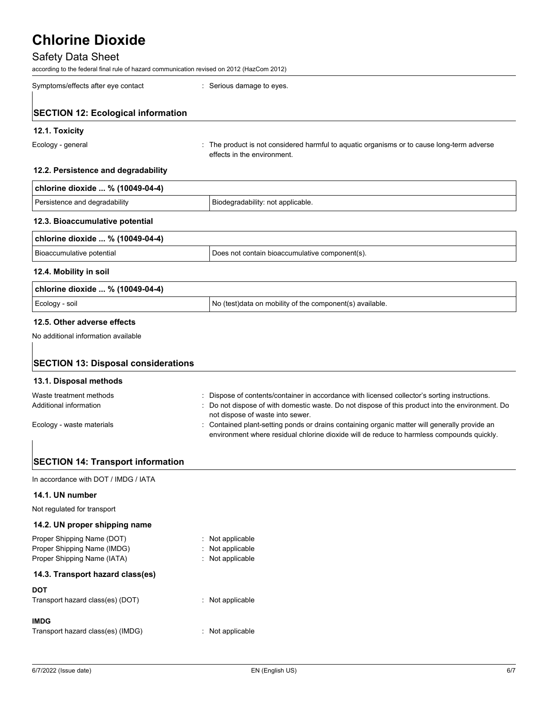# Safety Data Sheet

according to the federal final rule of hazard communication revised on 2012 (HazCom 2012)

| Symptoms/effects after eye contact | : Serious damage to eyes. |
|------------------------------------|---------------------------|
|                                    |                           |

# **SECTION 12: Ecological information**

#### **12.1. Toxicity**

Ecology - general states of the product is not considered harmful to aquatic organisms or to cause long-term adverse effects in the environment.

#### **12.2. Persistence and degradability**

| chlorine dioxide  % (10049-04-4) |                                   |  |
|----------------------------------|-----------------------------------|--|
| Persistence and degradability    | Biodegradability: not applicable. |  |

# **12.3. Bioaccumulative potential**

| chlorine dioxide  % (10049-04-4) |                                                |  |
|----------------------------------|------------------------------------------------|--|
| l Bioaccumulative potential      | Does not contain bioaccumulative component(s). |  |

#### **12.4. Mobility in soil**

| chlorine dioxide  % (10049-04-4) |                                                          |  |
|----------------------------------|----------------------------------------------------------|--|
| Ecology - soil                   | No (test)data on mobility of the component(s) available. |  |

### **12.5. Other adverse effects**

No additional information available

# **SECTION 13: Disposal considerations**

#### **13.1. Disposal methods**

| Waste treatment methods   | Dispose of contents/container in accordance with licensed collector's sorting instructions.    |
|---------------------------|------------------------------------------------------------------------------------------------|
| Additional information    | Do not dispose of with domestic waste. Do not dispose of this product into the environment. Do |
|                           | not dispose of waste into sewer.                                                               |
| Ecology - waste materials | : Contained plant-setting ponds or drains containing organic matter will generally provide an  |
|                           | environment where residual chlorine dioxide will de reduce to harmless compounds quickly.      |

# **SECTION 14: Transport information**

In accordance with DOT / IMDG / IATA

#### **14.1. UN number**

Not regulated for transport

# **14.2. UN proper shipping name**

| Proper Shipping Name (DOT)       | $:$ Not applicable          |
|----------------------------------|-----------------------------|
| Proper Shipping Name (IMDG)      | Not applicable              |
| Proper Shipping Name (IATA)      | : Not applicable            |
| 14.3. Transport hazard class(es) |                             |
| DOT                              |                             |
| Transport hazard class(es) (DOT) | $\therefore$ Not applicable |

# **IMDG**

| Transport hazard class(es) (IMDG) | : Not applicable |
|-----------------------------------|------------------|
|-----------------------------------|------------------|